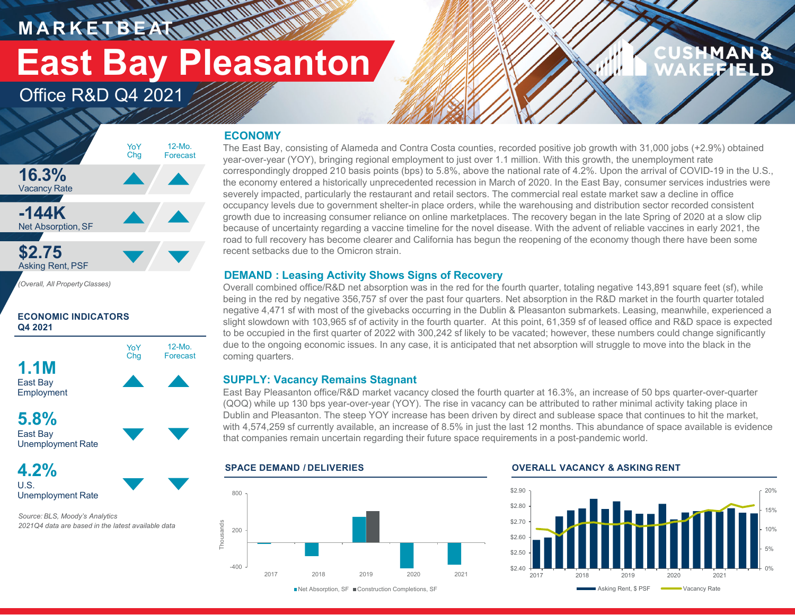# **East Bay Pleasanton**

12-Mo.Forecast

### Office R&D Q4 2021

### **ECONOMY**

**HARRY AND WAR** 

#### **16.3%**Vacancy Rate **-144K**Net Absorption, SF **\$2.75** Asking Rent, PSF 12-Mo. ForecastYoY Chg

*(Overall, All PropertyClasses)*

#### **ECONOMIC INDICATORS Q4 2021**



#### **5.8%**East Bay

Unemployment Rate

#### **4.2%**U.S.Unemployment Rate

*Source: BLS, Moody's Analytics 2021Q4 data are based in the latest available data* The East Bay, consisting of Alameda and Contra Costa counties, recorded positive job growth with 31,000 jobs (+2.9%) obtained year-over-year (YOY), bringing regional employment to just over 1.1 million. With this growth, the unemployment rate correspondingly dropped 210 basis points (bps) to 5.8%, above the national rate of 4.2%. Upon the arrival of COVID-19 in the U.S., the economy entered a historically unprecedented recession in March of 2020. In the East Bay, consumer services industries were severely impacted, particularly the restaurant and retail sectors. The commercial real estate market saw a decline in office occupancy levels due to government shelter-in place orders, while the warehousing and distribution sector recorded consistent growth due to increasing consumer reliance on online marketplaces. The recovery began in the late Spring of 2020 at a slow clip because of uncertainty regarding a vaccine timeline for the novel disease. With the advent of reliable vaccines in early 2021, the road to full recovery has become clearer and California has begun the reopening of the economy though there have been some recent setbacks due to the Omicron strain.

#### **DEMAND : Leasing Activity Shows Signs of Recovery**

Overall combined office/R&D net absorption was in the red for the fourth quarter, totaling negative 143,891 square feet (sf), while being in the red by negative 356,757 sf over the past four quarters. Net absorption in the R&D market in the fourth quarter totaled negative 4,471 sf with most of the givebacks occurring in the Dublin & Pleasanton submarkets. Leasing, meanwhile, experienced <sup>a</sup> slight slowdown with 103,965 sf of activity in the fourth quarter. At this point, 61,359 sf of leased office and R&D space is expected to be occupied in the first quarter of 2022 with 300,242 sf likely to be vacated; however, these numbers could change significantly due to the ongoing economic issues. In any case, it is anticipated that net absorption will struggle to move into the black in the coming quarters.

#### **SUPPLY: Vacancy Remains Stagnant**

East Bay Pleasanton office/R&D market vacancy closed the fourth quarter at 16.3%, an increase of 50 bps quarter-over-quarter (QOQ) while up 130 bps year-over-year (YOY). The rise in vacancy can be attributed to rather minimal activity taking place in Dublin and Pleasanton. The steep YOY increase has been driven by direct and sublease space that continues to hit the market, with 4,574,259 sf currently available, an increase of 8.5% in just the last 12 months. This abundance of space available is evidence that companies remain uncertain regarding their future space requirements in a post-pandemic world.





MAN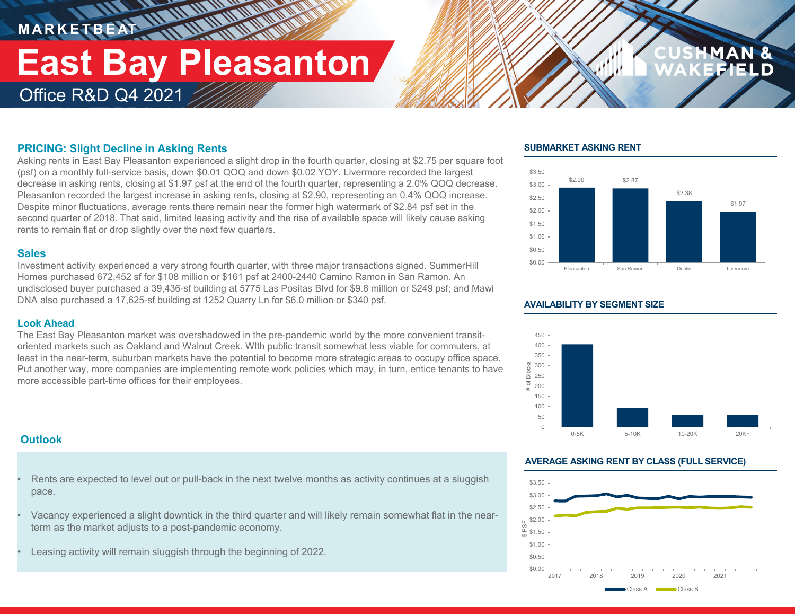### Office R&D Q4 2021 **East Bay Pleasanton**

**THE WARRANT** 

#### **PRICING: Slight Decline in Asking Rents**

Asking rents in East Bay Pleasanton experienced a slight drop in the fourth quarter, closing at \$2.75 per square foot (psf) on a monthly full-service basis, down \$0.01 QOQ and down \$0.02 YOY. Livermore recorded the largest decrease in asking rents, closing at \$1.97 psf at the end of the fourth quarter, representing a 2.0% QOQ decrease. Pleasanton recorded the largest increase in asking rents, closing at \$2.90, representing an 0.4% QOQ increase. Despite minor fluctuations, average rents there remain near the former high watermark of \$2.84 psf set in the second quarter of 2018. That said, limited leasing activity and the rise of available space will likely cause asking rents to remain flat or drop slightly over the next few quarters.

#### **Sales**

Investment activity experienced a very strong fourth quarter, with three major transactions signed. SummerHill Homes purchased 672,452 sf for \$108 million or \$161 psf at 2400-2440 Camino Ramon in San Ramon. An undisclosed buyer purchased a 39,436-sf building at 5775 Las Positas Blvd for \$9.8 million or \$249 psf; and Mawi DNA also purchased a 17,625-sf building at 1252 Quarry Ln for \$6.0 million or \$340 psf.

#### **Look Ahead**

The East Bay Pleasanton market was overshadowed in the pre-pandemic world by the more convenient transitoriented markets such as Oakland and Walnut Creek. WIth public transit somewhat less viable for commuters, at least in the near-term, suburban markets have the potential to become more strategic areas to occupy office space. Put another way, more companies are implementing remote work policies which may, in turn, entice tenants to have more accessible part-time offices for their employees.

#### **Outlook**

- Rents are expected to level out or pull-back in the next twelve months as activity continues at a sluggish pace.
- Vacancy experienced a slight downtick in the third quarter and will likely remain somewhat flat in the nearterm as the market adjusts to a post-pandemic economy.
- Leasing activity will remain sluggish through the beginning of 2022.

#### **SUBMARKET ASKING RENT**



#### **AVAILABILITY BY SEGMENT SIZE**



#### **AVERAGE ASKING RENT BY CLASS (FULL SERVICE)**

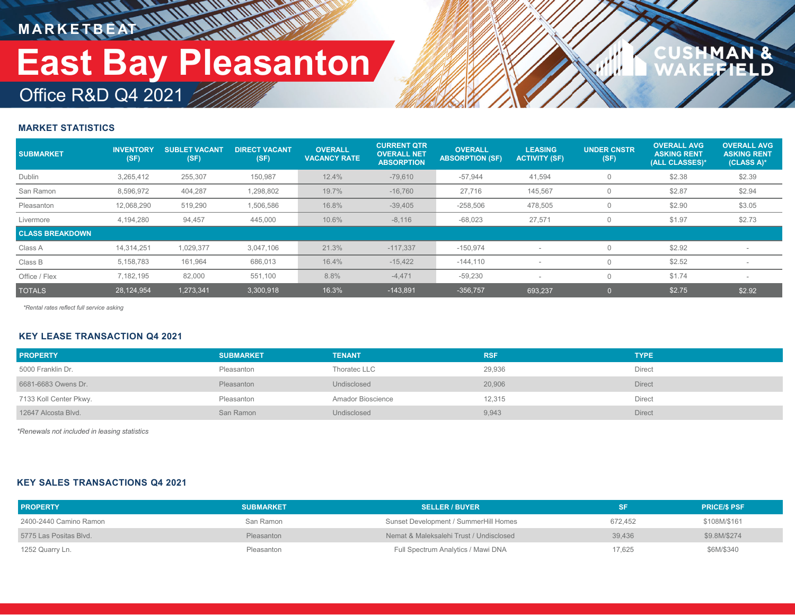# Office R&D Q4 2021 **East Bay Pleasanton**

### $\frac{a}{D}$

#### **MARKET STATISTICS**

| <b>SUBMARKET</b>       | <b>INVENTORY</b><br>(SF) | <b>SUBLET VACANT</b><br>(SF) | <b>DIRECT VACANT</b><br>(SF) | <b>OVERALL</b><br><b>VACANCY RATE</b> | <b>CURRENT QTR</b><br><b>OVERALL NET</b><br><b>ABSORPTION</b> | <b>OVERALL</b><br><b>ABSORPTION (SF)</b> | <b>LEASING</b><br><b>ACTIVITY (SF)</b> | <b>UNDER CNSTR</b><br>(SF) | <b>OVERALL AVG</b><br><b>ASKING RENT</b><br>(ALL CLASSES)* | <b>OVERALL AVG.</b><br><b>ASKING RENT</b><br>(CLASS A)* |
|------------------------|--------------------------|------------------------------|------------------------------|---------------------------------------|---------------------------------------------------------------|------------------------------------------|----------------------------------------|----------------------------|------------------------------------------------------------|---------------------------------------------------------|
| Dublin                 | 3,265,412                | 255,307                      | 150,987                      | 12.4%                                 | $-79,610$                                                     | $-57,944$                                | 41,594                                 |                            | \$2.38                                                     | \$2.39                                                  |
| San Ramon              | 8,596,972                | 404,287                      | 1,298,802                    | 19.7%                                 | $-16,760$                                                     | 27,716                                   | 145,567                                |                            | \$2.87                                                     | \$2.94                                                  |
| Pleasanton             | 12,068,290               | 519,290                      | 1,506,586                    | 16.8%                                 | $-39,405$                                                     | $-258,506$                               | 478,505                                |                            | \$2.90                                                     | \$3.05                                                  |
| Livermore              | 4,194,280                | 94,457                       | 445,000                      | 10.6%                                 | $-8,116$                                                      | $-68,023$                                | 27,571                                 |                            | \$1.97                                                     | \$2.73                                                  |
| <b>CLASS BREAKDOWN</b> |                          |                              |                              |                                       |                                                               |                                          |                                        |                            |                                                            |                                                         |
| Class A                | 14,314,251               | 1,029,377                    | 3,047,106                    | 21.3%                                 | $-117,337$                                                    | $-150,974$                               |                                        |                            | \$2.92                                                     |                                                         |
| Class B                | 5,158,783                | 161,964                      | 686,013                      | 16.4%                                 | $-15,422$                                                     | $-144, 110$                              |                                        |                            | \$2.52                                                     |                                                         |
| Office / Flex          | 7,182,195                | 82,000                       | 551,100                      | 8.8%                                  | $-4,471$                                                      | $-59,230$                                |                                        |                            | \$1.74                                                     |                                                         |
| <b>TOTALS</b>          | 28,124,954               | 1,273,341                    | 3,300,918                    | 16.3%                                 | $-143,891$                                                    | $-356,757$                               | 693.237                                |                            | \$2.75                                                     | \$2.92                                                  |

*\*Rental rates reflect full service asking*

#### **KEY LEASE TRANSACTION Q4 2021**

| <b>PROPERTY</b>        | <b>SUBMARKET</b> | <b>TENANT</b>     | <b>RSF</b> | <b>TYPE</b>   |
|------------------------|------------------|-------------------|------------|---------------|
| 5000 Franklin Dr.      | Pleasanton       | Thoratec LLC      | 29,936     | Direct        |
| 6681-6683 Owens Dr.    | Pleasanton       | Undisclosed       | 20,906     | <b>Direct</b> |
| 7133 Koll Center Pkwy. | Pleasanton       | Amador Bioscience | 12,315     | Direct        |
| 12647 Alcosta Blvd.    | San Ramon        | Undisclosed       | 9,943      | <b>Direct</b> |

*\*Renewals not included in leasing statistics*

#### **KEY SALES TRANSACTIONS Q4 2021**

| <b>PROPERTY</b>        | <b>SUBMARKET</b> | <b>SELLER / BUYER</b>                   |         | <b>PRICE/S PSF</b> |
|------------------------|------------------|-----------------------------------------|---------|--------------------|
| 2400-2440 Camino Ramon | San Ramon        | Sunset Development / SummerHill Homes   | 672.452 | \$108M/\$161       |
| 5775 Las Positas Blvd. | Pleasanton       | Nemat & Maleksalehi Trust / Undisclosed | 39.436  | \$9.8M/\$274       |
| 1252 Quarry Ln.        | Pleasanton       | Full Spectrum Analytics / Mawi DNA      | 17,625  | \$6M/\$340         |